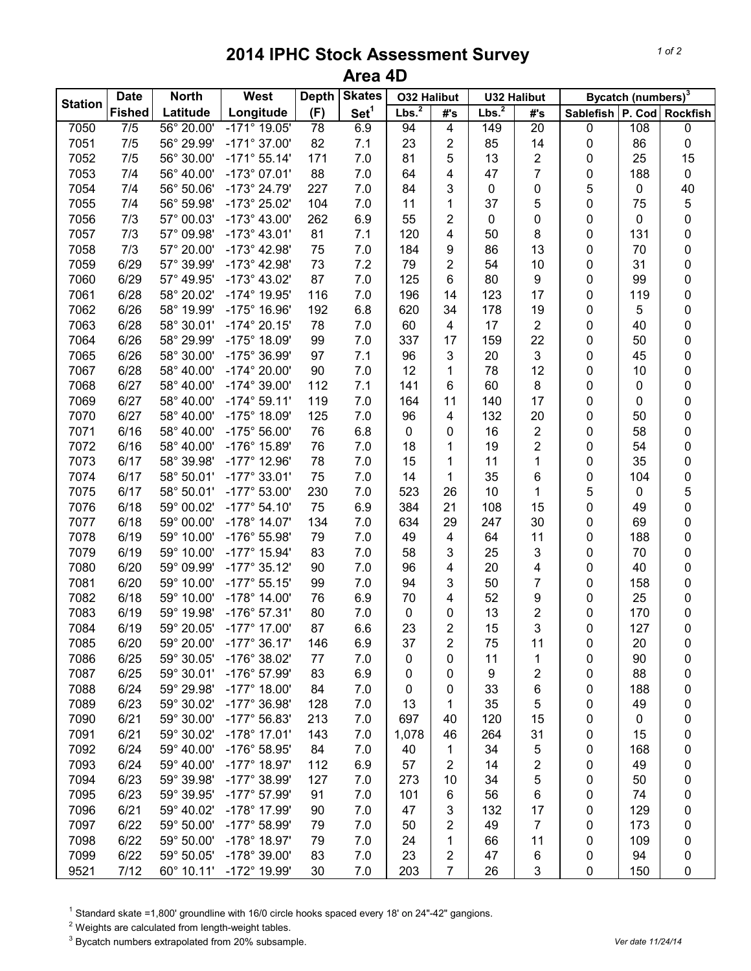## **2014 IPHC Stock Assessment Survey Area 4D**

| <b>Station</b> | <b>Date</b>   | <b>North</b>             | West                  | <b>Depth</b> | <b>Skates</b>    | <b>O32 Halibut</b> |                | <b>U32 Halibut</b> |                 | Bycatch (numbers) <sup>3</sup> |             |           |
|----------------|---------------|--------------------------|-----------------------|--------------|------------------|--------------------|----------------|--------------------|-----------------|--------------------------------|-------------|-----------|
|                | <b>Fished</b> | Latitude                 | Longitude             | (F)          | Set <sup>1</sup> | Lbs. <sup>2</sup>  | #'s            | Lbs. <sup>2</sup>  | #'s             | Sablefish   P. Cod   Rockfish  |             |           |
| 7050           | 7/5           | 56° 20.00'               | $-171^{\circ}$ 19.05' | 78           | 6.9              | 94                 | 4              | 149                | $\overline{20}$ | $\pmb{0}$                      | 108         | 0         |
| 7051           | 7/5           | 56° 29.99'               | $-171^{\circ}$ 37.00' | 82           | 7.1              | 23                 | 2              | 85                 | 14              | 0                              | 86          | 0         |
| 7052           | 7/5           | 56° 30.00'               | $-171°55.14'$         | 171          | 7.0              | 81                 | 5              | 13                 | 2               | 0                              | 25          | 15        |
| 7053           | 7/4           | 56° 40.00'               | $-173^{\circ}$ 07.01' | 88           | 7.0              | 64                 | 4              | 47                 | 7               | 0                              | 188         | 0         |
| 7054           | 7/4           | 56° 50.06'               | $-173^{\circ}$ 24.79' | 227          | 7.0              | 84                 | 3              | 0                  | 0               | 5                              | 0           | 40        |
| 7055           | 7/4           | 56° 59.98'               | -173° 25.02'          | 104          | 7.0              | 11                 | 1              | 37                 | 5               | 0                              | 75          | 5         |
| 7056           | 7/3           | 57° 00.03'               | $-173^{\circ}$ 43.00' | 262          | 6.9              | 55                 | $\overline{2}$ | 0                  | 0               | 0                              | 0           | $\pmb{0}$ |
| 7057           | 7/3           | 57° 09.98'               | $-173^{\circ}$ 43.01' | 81           | 7.1              | 120                | 4              | 50                 | 8               | 0                              | 131         | $\pmb{0}$ |
| 7058           | 7/3           | 57° 20.00'               | $-173^{\circ}$ 42.98' | 75           | 7.0              | 184                | 9              | 86                 | 13              | 0                              | 70          | $\pmb{0}$ |
| 7059           | 6/29          | 57° 39.99'               | $-173^{\circ}$ 42.98' | 73           | 7.2              | 79                 | $\overline{2}$ | 54                 | 10              | 0                              | 31          | $\pmb{0}$ |
| 7060           | 6/29          | 57° 49.95'               | $-173^{\circ}$ 43.02' | 87           | 7.0              | 125                | 6              | 80                 | 9               | 0                              | 99          | $\pmb{0}$ |
| 7061           | 6/28          | 58° 20.02'               | -174° 19.95'          | 116          | 7.0              | 196                | 14             | 123                | 17              | 0                              | 119         | 0         |
| 7062           | 6/26          | 58° 19.99'               | $-175^{\circ}$ 16.96' | 192          | 6.8              | 620                | 34             | 178                | 19              | 0                              | 5           | 0         |
| 7063           | 6/28          | 58° 30.01'               | $-174^{\circ}$ 20.15' | 78           | 7.0              | 60                 | 4              | 17                 | $\overline{2}$  | 0                              | 40          | 0         |
| 7064           | 6/26          | 58° 29.99'               | -175° 18.09'          | 99           | 7.0              | 337                | 17             | 159                | 22              | 0                              | 50          | 0         |
| 7065           | 6/26          | 58° 30.00'               | -175° 36.99'          | 97           | 7.1              | 96                 | 3              | 20                 | 3               | 0                              | 45          | 0         |
| 7067           | 6/28          | 58° 40.00'               | $-174^{\circ} 20.00'$ | 90           | 7.0              | 12                 | 1              | 78                 | 12              | 0                              | 10          | 0         |
| 7068           | 6/27          | 58° 40.00'               | $-174^{\circ}$ 39.00' | 112          | 7.1              | 141                | 6              | 60                 | 8               | 0                              | 0           | 0         |
| 7069           | 6/27          | 58° 40.00'               | $-174^{\circ} 59.11'$ | 119          | 7.0              | 164                | 11             | 140                | 17              | 0                              | 0           | 0         |
| 7070           | 6/27          | 58° 40.00'               | -175° 18.09'          | 125          | 7.0              | 96                 | 4              | 132                | 20              | 0                              | 50          | 0         |
| 7071           | 6/16          | 58° 40.00'               | $-175^{\circ} 56.00'$ | 76           | 6.8              | 0                  | 0              | 16                 | 2               | 0                              | 58          | 0         |
| 7072           | 6/16          | 58° 40.00'               | -176° 15.89'          | 76           | 7.0              | 18                 | 1              | 19                 | 2               | 0                              | 54          | 0         |
| 7073           | 6/17          | 58° 39.98'               | $-177^{\circ}$ 12.96' | 78           | 7.0              | 15                 | 1              | 11                 | 1               | 0                              | 35          | $\pmb{0}$ |
| 7074           | 6/17          | 58° 50.01'               | $-177^{\circ}$ 33.01' | 75           | 7.0              | 14                 | 1              | 35                 | 6               | 0                              | 104         | $\pmb{0}$ |
| 7075           | 6/17          | 58° 50.01'               | $-177^{\circ} 53.00'$ | 230          | 7.0              | 523                | 26             | 10                 | 1               | 5                              | $\mathbf 0$ | 5         |
| 7076           | 6/18          | 59° 00.02'               | $-177°54.10'$         | 75           | 6.9              | 384                | 21             | 108                | 15              | 0                              | 49          | $\pmb{0}$ |
| 7077           | 6/18          | 59° 00.00'               | $-178^{\circ}$ 14.07' | 134          | 7.0              | 634                | 29             | 247                | 30              | 0                              | 69          | 0         |
| 7078           | 6/19          | 59° 10.00'               | -176° 55.98'          | 79           | 7.0              | 49                 | 4              | 64                 | 11              | 0                              | 188         | $\pmb{0}$ |
| 7079           | 6/19          | 59° 10.00'               | $-177^{\circ}$ 15.94' | 83           | 7.0              | 58                 | 3              | 25                 | 3               | 0                              | 70          | 0         |
| 7080           | 6/20          | 59° 09.99'               | $-177^{\circ}$ 35.12' | 90           | 7.0              | 96                 | 4              | 20                 | 4               | 0                              | 40          | 0         |
| 7081           | 6/20          | 59° 10.00                | $-177^{\circ}55.15'$  | 99           | 7.0              | 94                 | 3              | 50                 | 7               | 0                              | 158         | 0         |
| 7082           | 6/18          | 59° 10.00'               | $-178^{\circ}$ 14.00' | 76           | 6.9              | 70                 | 4              | 52                 | 9               | 0                              | 25          | 0         |
| 7083           | 6/19          | 59° 19.98'               | $-176^{\circ}$ 57.31' | 80           | 7.0              | 0                  | 0              | 13                 | 2               | 0                              | 170         | 0         |
| 7084           | 6/19          | 59° 20.05'               | $-177^{\circ}$ 17.00' | 87           | 6.6              | 23                 | $\overline{2}$ | 15                 | 3               | 0                              | 127         | $\pmb{0}$ |
| 7085           | 6/20          | 59° 20.00'               | $-177°36.17'$         | 146          | 6.9              | 37                 | 2              | 75                 | 11              | 0                              | 20          |           |
| 7086           | 6/25          | 59° 30.05'               | -176° 38.02'          | 77           | 7.0              | 0                  | 0              | 11                 | 1               | 0                              | 90          | 0<br>0    |
| 7087           | 6/25          | 59° 30.01'               | -176° 57.99'          | 83           | 6.9              | 0                  | 0              | 9                  | 2               | 0                              | 88          | 0         |
| 7088           | 6/24          | 59° 29.98'               | $-177^{\circ}$ 18.00' | 84           | 7.0              | 0                  | 0              | 33                 | 6               | 0                              | 188         | 0         |
| 7089           | 6/23          | 59° 30.02'               | $-177^{\circ}$ 36.98' | 128          | 7.0              | 13                 | 1              | 35                 | 5               | 0                              | 49          | 0         |
| 7090           | 6/21          | 59° 30.00'               | $-177^{\circ}$ 56.83' | 213          | 7.0              | 697                | 40             | 120                | 15              |                                | 0           | 0         |
| 7091           | 6/21          | 59° 30.02'               | $-178°$ 17.01'        | 143          | 7.0              | 1,078              |                | 264                | 31              | 0                              | 15          |           |
|                |               |                          |                       |              |                  |                    | 46             |                    |                 | 0                              |             | 0         |
| 7092           | 6/24          | 59° 40.00'<br>59° 40.00' | -176° 58.95'          | 84           | 7.0              | 40                 | 1              | 34                 | 5               | 0                              | 168         | 0         |
| 7093           | 6/24          |                          | $-177^{\circ}$ 18.97' | 112          | 6.9              | 57                 | 2              | 14                 | 2               | 0                              | 49          | 0         |
| 7094           | 6/23          | 59° 39.98'               | $-177^{\circ}$ 38.99' | 127          | 7.0              | 273                | 10             | 34                 | 5               | 0                              | 50          | 0         |
| 7095           | 6/23          | 59° 39.95'               | $-177^{\circ}$ 57.99' | 91           | 7.0              | 101                | 6              | 56                 | 6               | 0                              | 74          | 0         |
| 7096           | 6/21          | 59° 40.02'               | -178° 17.99'          | 90           | 7.0              | 47                 | 3              | 132                | 17              | 0                              | 129         | 0         |
| 7097           | 6/22          | 59° 50.00'               | $-177^{\circ}$ 58.99' | 79           | 7.0              | 50                 | 2              | 49                 | 7               | 0                              | 173         | 0         |
| 7098           | 6/22          | 59° 50.00'               | $-178°$ 18.97'        | 79           | 7.0              | 24                 | 1              | 66                 | 11              | 0                              | 109         | 0         |
| 7099           | 6/22          | 59° 50.05'               | -178° 39.00'          | 83           | 7.0              | 23                 | $\overline{c}$ | 47                 | 6               | 0                              | 94          | 0         |
| 9521           | 7/12          | 60° 10.11'               | -172° 19.99'          | 30           | 7.0              | 203                | 7              | 26                 | 3               | $\pmb{0}$                      | 150         | 0         |

<sup>1</sup> Standard skate =1,800' groundline with 16/0 circle hooks spaced every 18' on 24"-42" gangions.

Weights are calculated from length-weight tables.

<sup>3</sup> Bycatch numbers extrapolated from 20% subsample. *Vertal and the straps of the straps of the three filtheration*